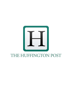

## THE HUFFINGTON POST